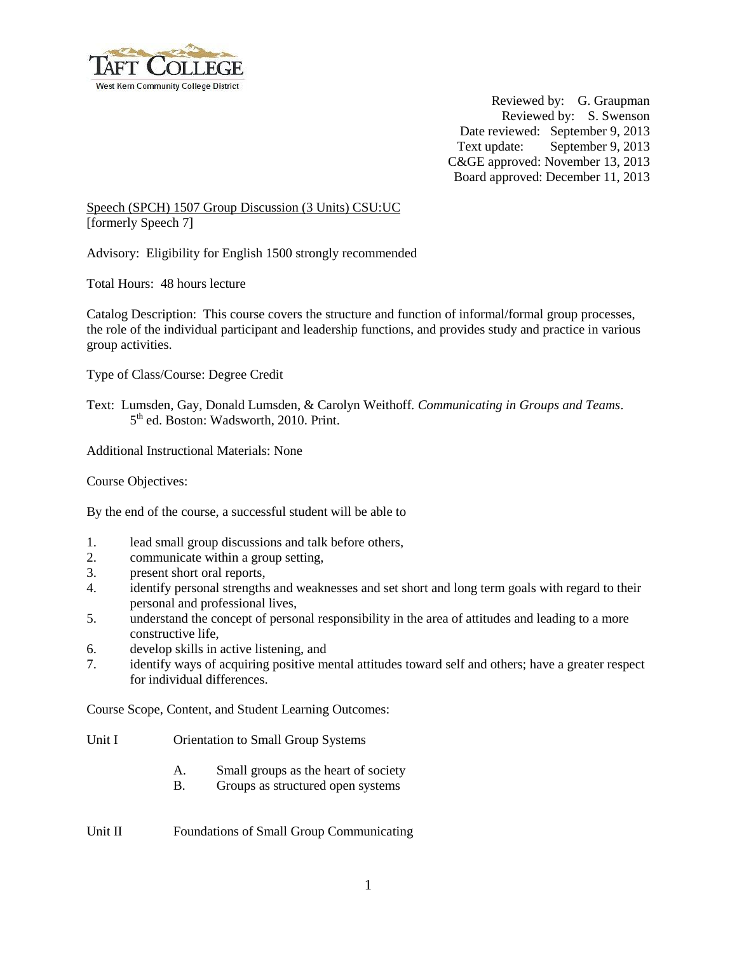

 Reviewed by: G. Graupman Reviewed by: S. Swenson Date reviewed: September 9, 2013 Text update: September 9, 2013 C&GE approved: November 13, 2013 Board approved: December 11, 2013

Speech (SPCH) 1507 Group Discussion (3 Units) CSU:UC [formerly Speech 7]

Advisory: Eligibility for English 1500 strongly recommended

Total Hours: 48 hours lecture

Catalog Description: This course covers the structure and function of informal/formal group processes, the role of the individual participant and leadership functions, and provides study and practice in various group activities.

Type of Class/Course: Degree Credit

Text: Lumsden, Gay, Donald Lumsden, & Carolyn Weithoff*. Communicating in Groups and Teams*.  $5<sup>th</sup>$  ed. Boston: Wadsworth, 2010. Print.

Additional Instructional Materials: None

Course Objectives:

By the end of the course, a successful student will be able to

- 1. lead small group discussions and talk before others,
- 2. communicate within a group setting,
- 3. present short oral reports,
- 4. identify personal strengths and weaknesses and set short and long term goals with regard to their personal and professional lives,
- 5. understand the concept of personal responsibility in the area of attitudes and leading to a more constructive life,
- 6. develop skills in active listening, and
- 7. identify ways of acquiring positive mental attitudes toward self and others; have a greater respect for individual differences.

Course Scope, Content, and Student Learning Outcomes:

Unit I Orientation to Small Group Systems

- A. Small groups as the heart of society
- B. Groups as structured open systems

Unit II Foundations of Small Group Communicating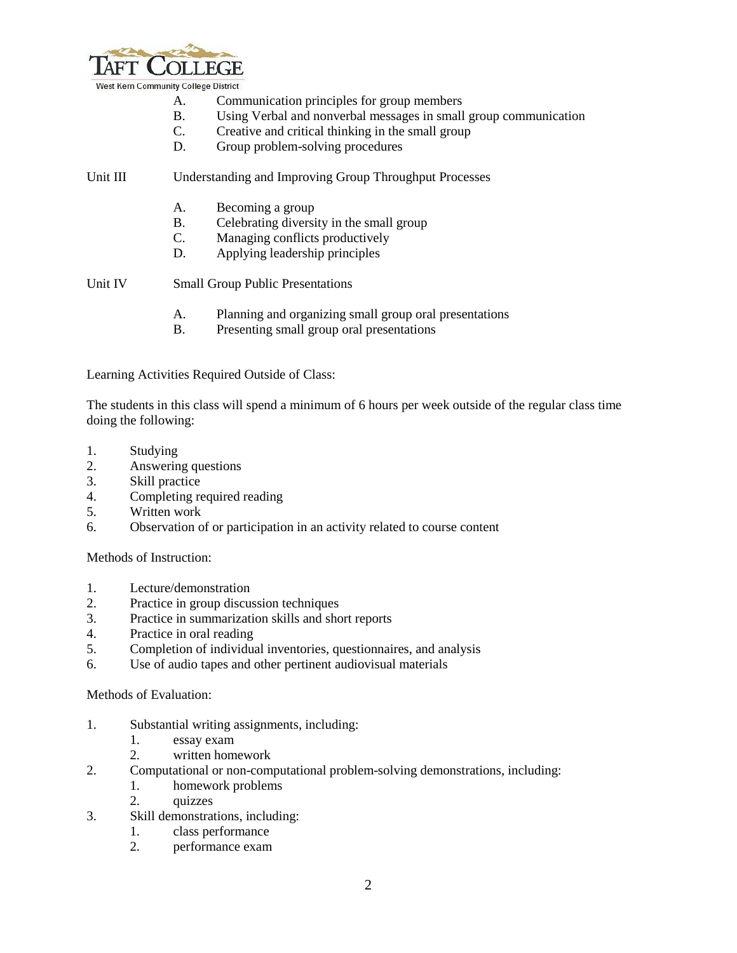

- A. Communication principles for group members
- B. Using Verbal and nonverbal messages in small group communication
- C. Creative and critical thinking in the small group
- D. Group problem-solving procedures

## Unit III Understanding and Improving Group Throughput Processes

- A. Becoming a group
- B. Celebrating diversity in the small group
- C. Managing conflicts productively<br>D. Applying leadership principles
- Applying leadership principles

Unit IV Small Group Public Presentations

- A. Planning and organizing small group oral presentations
- B. Presenting small group oral presentations

Learning Activities Required Outside of Class:

The students in this class will spend a minimum of 6 hours per week outside of the regular class time doing the following:

- 1. Studying
- 2. Answering questions
- 3. Skill practice
- 4. Completing required reading
- 5. Written work
- 6. Observation of or participation in an activity related to course content

Methods of Instruction:

- 1. Lecture/demonstration
- 2. Practice in group discussion techniques
- 3. Practice in summarization skills and short reports
- 4. Practice in oral reading
- 5. Completion of individual inventories, questionnaires, and analysis
- 6. Use of audio tapes and other pertinent audiovisual materials

## Methods of Evaluation:

- 1. Substantial writing assignments, including:
	- 1. essay exam
	- 2. written homework
- 2. Computational or non-computational problem-solving demonstrations, including:
	- 1. homework problems
		- 2. quizzes
- 3. Skill demonstrations, including:
	- 1. class performance
	- 2. performance exam